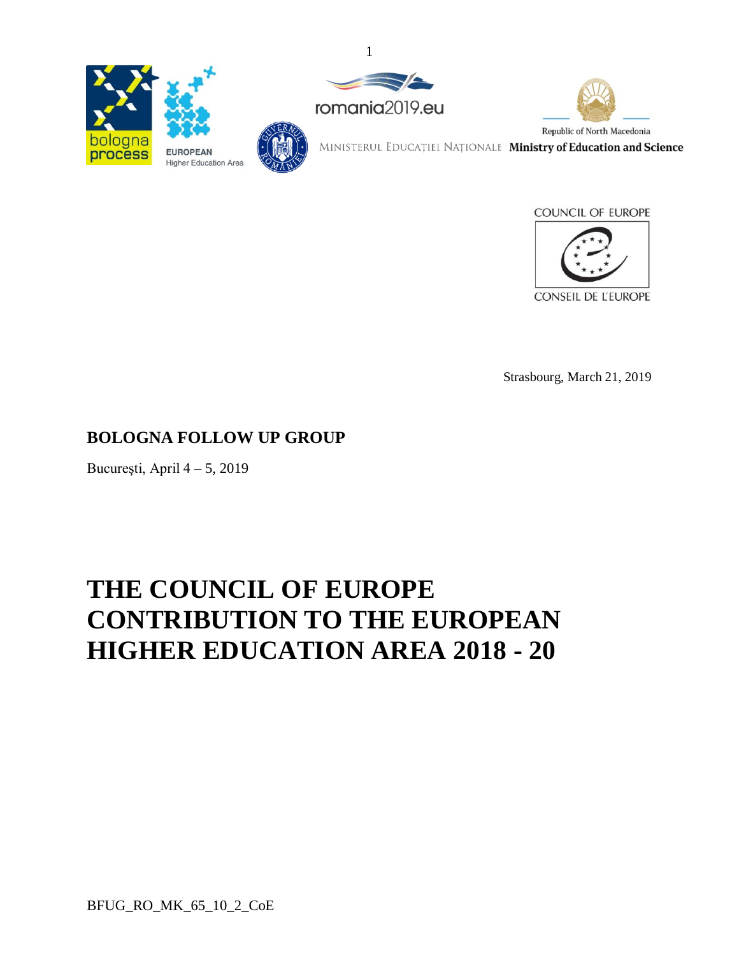



1



MINISTERUL EDUCAȚIEI NAȚIONALE Ministry of Education and Science





Strasbourg, March 21, 2019

# **BOLOGNA FOLLOW UP GROUP**

București, April  $4 - 5$ , 2019

# **THE COUNCIL OF EUROPE CONTRIBUTION TO THE EUROPEAN HIGHER EDUCATION AREA 2018 - 20**

BFUG\_RO\_MK\_65\_10\_2\_CoE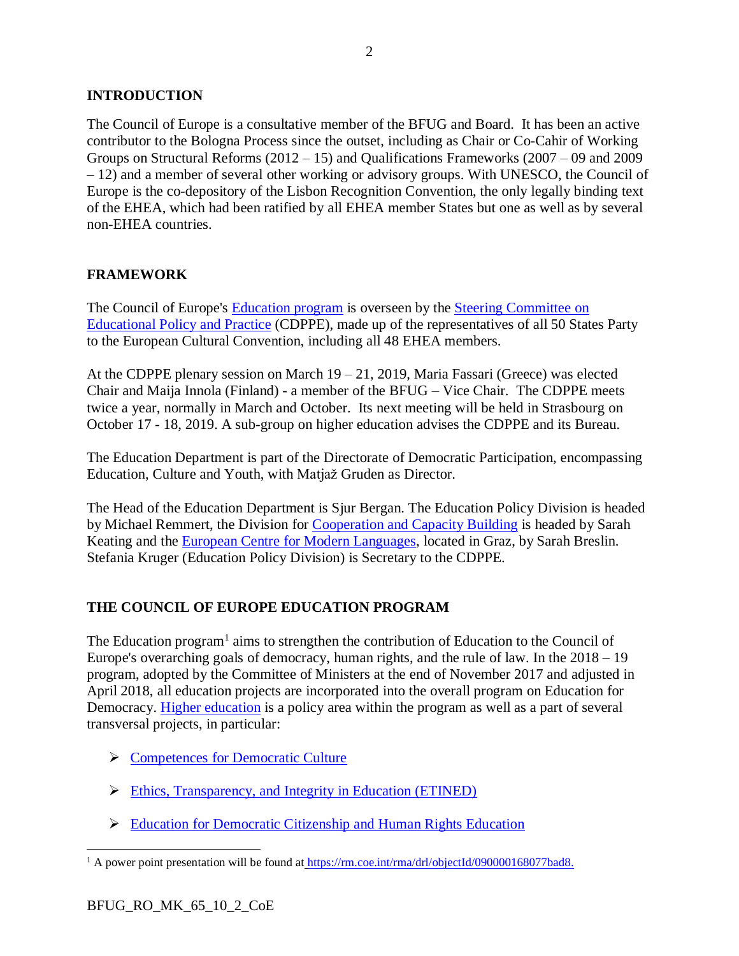# **INTRODUCTION**

The Council of Europe is a consultative member of the BFUG and Board. It has been an active contributor to the Bologna Process since the outset, including as Chair or Co-Cahir of Working Groups on Structural Reforms (2012 – 15) and Qualifications Frameworks (2007 – 09 and 2009 – 12) and a member of several other working or advisory groups. With UNESCO, the Council of Europe is the co-depository of the Lisbon Recognition Convention, the only legally binding text of the EHEA, which had been ratified by all EHEA member States but one as well as by several non-EHEA countries.

### **FRAMEWORK**

The Council of Europe's [Education](https://www.coe.int/en/web/education) program is overseen by the Steering [Committee](https://www.coe.int/en/web/education/cdppe) on [Educational](https://www.coe.int/en/web/education/cdppe) Policy and Practice (CDPPE), made up of the representatives of all 50 States Party to the European Cultural Convention, including all 48 EHEA members.

At the CDPPE plenary session on March 19 – 21, 2019, Maria Fassari (Greece) was elected Chair and Maija Innola (Finland) - a member of the BFUG – Vice Chair. The CDPPE meets twice a year, normally in March and October. Its next meeting will be held in Strasbourg on October 17 - 18, 2019. A sub-group on higher education advises the CDPPE and its Bureau.

The Education Department is part of the Directorate of Democratic Participation, encompassing Education, Culture and Youth, with Matjaž Gruden as Director.

The Head of the Education Department is Sjur Bergan. The Education Policy Division is headed by Michael Remmert, the Division for [Cooperation](https://www.coe.int/en/web/education/capacity-building) and Capacity Building is headed by Sarah Keating and the European Centre for Modern [Languages,](https://www.ecml.at/) located in Graz, by Sarah Breslin. Stefania Kruger (Education Policy Division) is Secretary to the CDPPE.

# **THE COUNCIL OF EUROPE EDUCATION PROGRAM**

The Education program<sup>1</sup> aims to strengthen the contribution of Education to the Council of Europe's overarching goals of democracy, human rights, and the rule of law. In the 2018 – 19 program, adopted by the Committee of Ministers at the end of November 2017 and adjusted in April 2018, all education projects are incorporated into the overall program on Education for Democracy. Higher [education](https://www.coe.int/en/web/higher-education-and-research/home) is a policy area within the program as well as a part of several transversal projects, in particular:

- ➢ [Competences](https://www.coe.int/en/web/education/competences-for-democratic-culture) for Democratic Culture
- ➢ Ethics, [Transparency,](https://www.coe.int/en/web/ethics-transparency-integrity-in-education) and Integrity in Education (ETINED)
- ➢ Education for [Democratic](https://www.coe.int/en/web/edc) Citizenship and Human Rights Education

 $\overline{a}$ <sup>1</sup> A power point presentation will be found at [https://rm.coe.int/rma/drl/objectId/090000168077bad8.](https://rm.coe.int/rma/drl/objectId/090000168077bad8)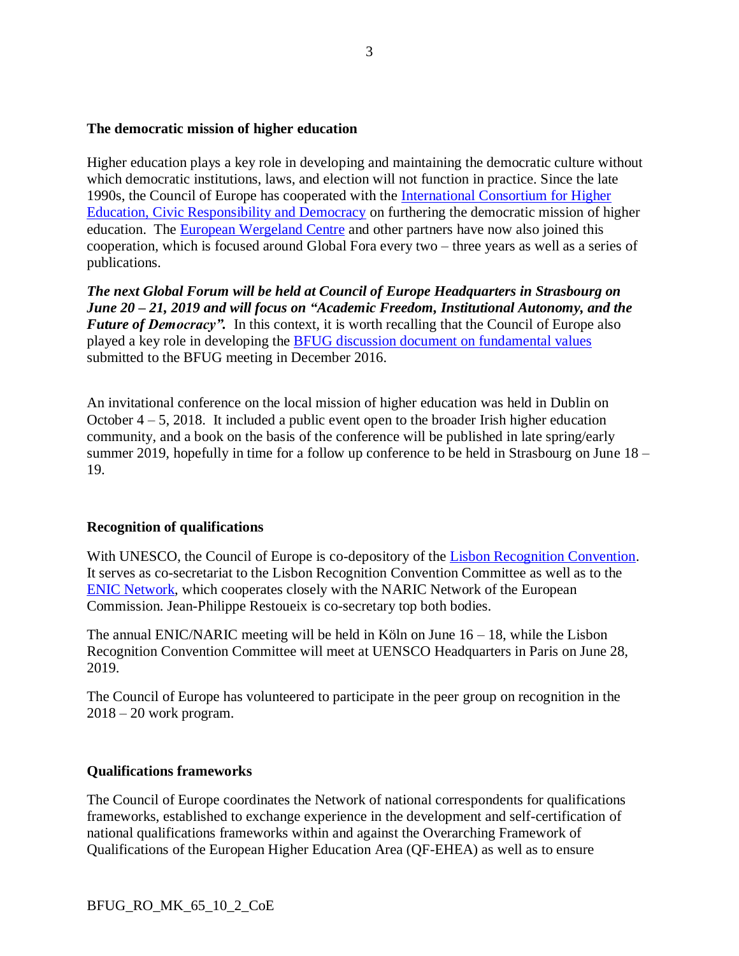#### **The democratic mission of higher education**

Higher education plays a key role in developing and maintaining the democratic culture without which democratic institutions, laws, and election will not function in practice. Since the late 1990s, the Council of Europe has cooperated with the [International Consortium for Higher](http://www.internationalconsortium.org/)  [Education, Civic Responsibility and Democracy](http://www.internationalconsortium.org/) on furthering the democratic mission of higher education. The European [Wergeland](http://www.theewc.org/) Centre and other partners have now also joined this cooperation, which is focused around Global Fora every two – three years as well as a series of publications.

*The next Global Forum will be held at Council of Europe Headquarters in Strasbourg on June 20 – 21, 2019 and will focus on "Academic Freedom, Institutional Autonomy, and the Future of Democracy".* In this context, it is worth recalling that the Council of Europe also played a key role in developing the BFUG discussion document on [fundamental](https://media.ehea.info/file/20161208-09-Bratislava/12/8/BFUG_SK_ME_52_9_Fundamental_values_669128.pdf) values submitted to the BFUG meeting in December 2016.

An invitational conference on the local mission of higher education was held in Dublin on October  $4 - 5$ , 2018. It included a public event open to the broader Irish higher education community, and a book on the basis of the conference will be published in late spring/early summer 2019, hopefully in time for a follow up conference to be held in Strasbourg on June 18 – 19.

#### **Recognition of qualifications**

With UNESCO, the Council of Europe is co-depository of the [Lisbon Recognition Convention.](https://www.coe.int/en/web/higher-education-and-research/lisbon-recognition-convention) It serves as co-secretariat to the Lisbon Recognition Convention Committee as well as to the [ENIC Network,](https://www.coe.int/en/web/higher-education-and-research/enic-naric) which cooperates closely with the NARIC Network of the European Commission. Jean-Philippe Restoueix is co-secretary top both bodies.

The annual ENIC/NARIC meeting will be held in Köln on June  $16 - 18$ , while the Lisbon Recognition Convention Committee will meet at UENSCO Headquarters in Paris on June 28, 2019.

The Council of Europe has volunteered to participate in the peer group on recognition in the  $2018 - 20$  work program.

#### **Qualifications frameworks**

The Council of Europe coordinates the Network of national correspondents for qualifications frameworks, established to exchange experience in the development and self-certification of national qualifications frameworks within and against the Overarching Framework of Qualifications of the European Higher Education Area (QF-EHEA) as well as to ensure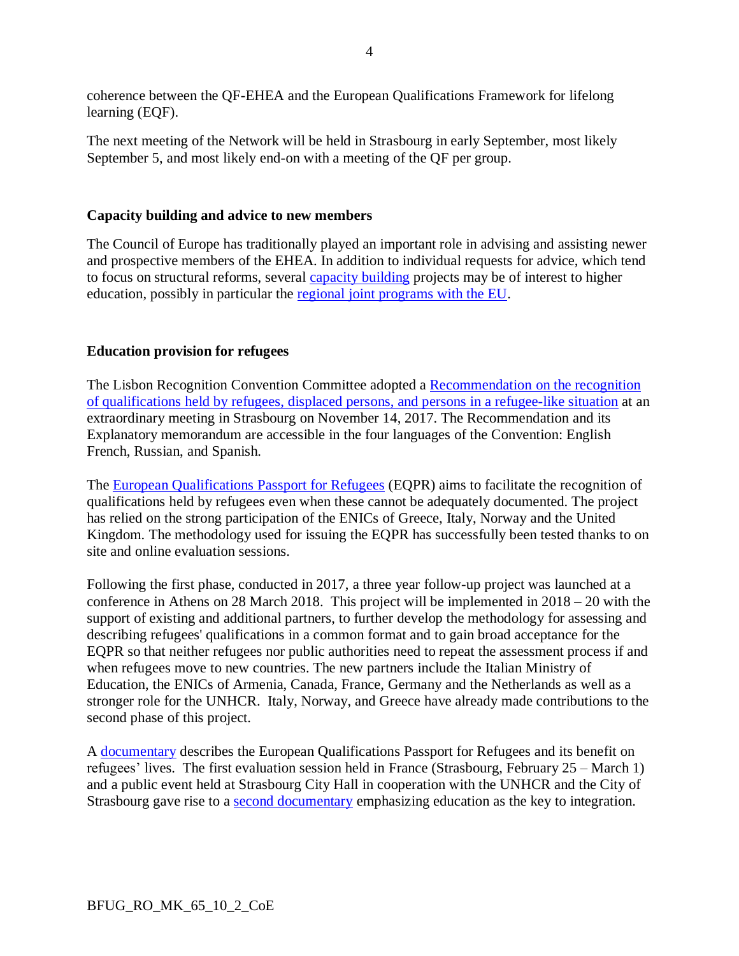coherence between the QF-EHEA and the European Qualifications Framework for lifelong learning (EQF).

The next meeting of the Network will be held in Strasbourg in early September, most likely September 5, and most likely end-on with a meeting of the QF per group.

#### **Capacity building and advice to new members**

The Council of Europe has traditionally played an important role in advising and assisting newer and prospective members of the EHEA. In addition to individual requests for advice, which tend to focus on structural reforms, several [capacity building](https://www.coe.int/en/web/education/capacity-building) projects may be of interest to higher education, possibly in particular the [regional joint programs with the EU.](https://www.coe.int/en/web/education/regional-joint-programmes-with-the-european-union)

# **Education provision for refugees**

The Lisbon Recognition Convention Committee adopted a [Recommendation](https://www.coe.int/en/web/education) on the recognition of [qualifications](https://www.coe.int/en/web/education) held by refugees, displaced persons, and persons in a refugee-like situation at an extraordinary meeting in Strasbourg on November 14, 2017. The Recommendation and its Explanatory memorandum are accessible in the four languages of the Convention: English French, Russian, and Spanish.

The European [Qualifications](https://www.coe.int/en/web/education/recognition-of-refugees-qualifications) Passport for Refugees (EQPR) aims to facilitate the recognition of qualifications held by refugees even when these cannot be adequately documented. The project has relied on the strong participation of the ENICs of Greece, Italy, Norway and the United Kingdom. The methodology used for issuing the EQPR has successfully been tested thanks to on site and online evaluation sessions.

Following the first phase, conducted in 2017, a three year follow-up project was launched at a conference in Athens on 28 March 2018. This project will be implemented in 2018 – 20 with the support of existing and additional partners, to further develop the methodology for assessing and describing refugees' qualifications in a common format and to gain broad acceptance for the EQPR so that neither refugees nor public authorities need to repeat the assessment process if and when refugees move to new countries. The new partners include the Italian Ministry of Education, the ENICs of Armenia, Canada, France, Germany and the Netherlands as well as a stronger role for the UNHCR. Italy, Norway, and Greece have already made contributions to the second phase of this project.

A [documentary](https://www.coe.int/en/web/education) describes the European Qualifications Passport for Refugees and its benefit on refugees' lives. The first evaluation session held in France (Strasbourg, February 25 – March 1) and a public event held at Strasbourg City Hall in cooperation with the UNHCR and the City of Strasbourg gave rise to a second [documentary](https://www.coe.int/en/web/education/video-education-the-key-to-integration) emphasizing education as the key to integration.